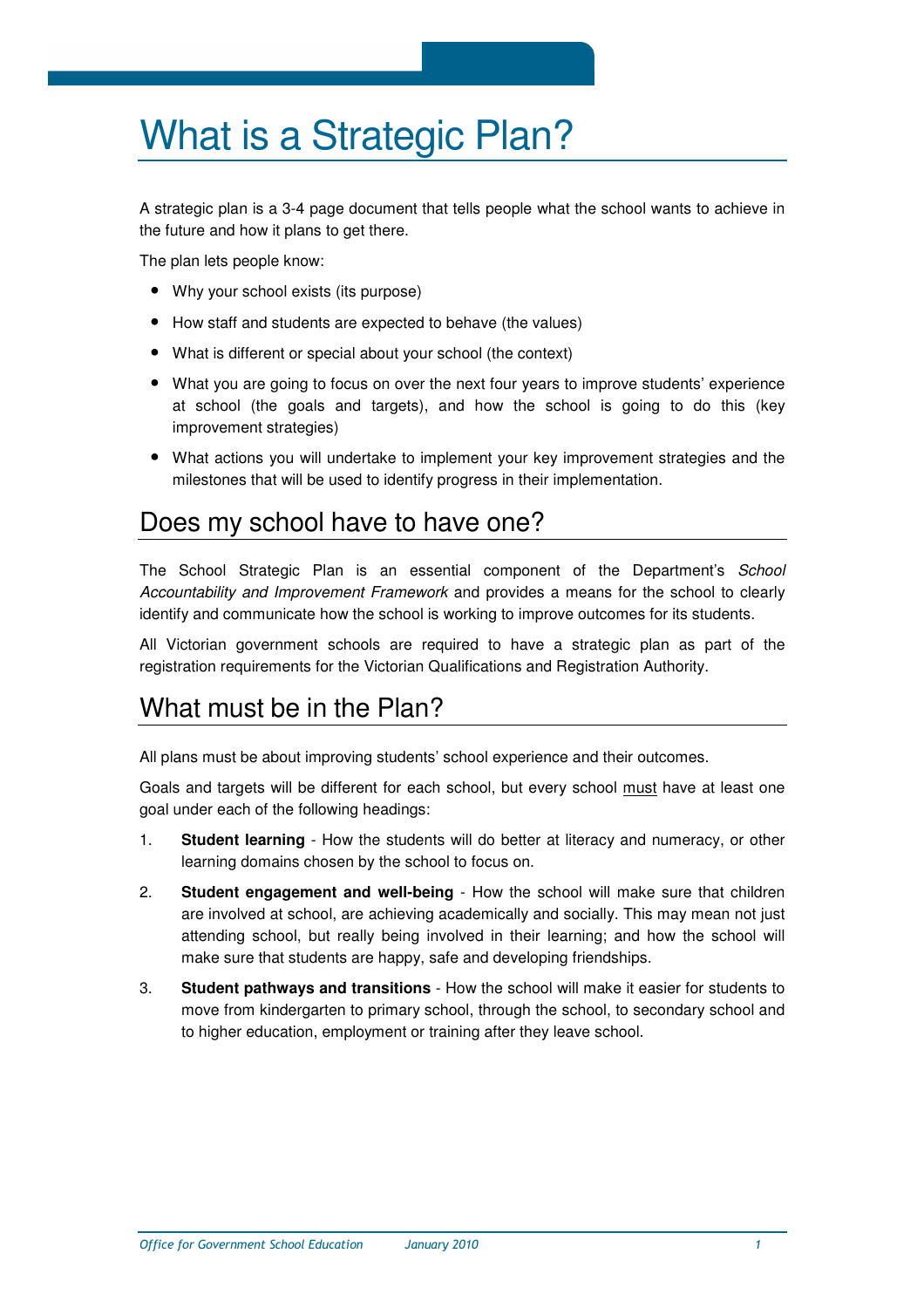# What is a Strategic Plan?

A strategic plan is a 3-4 page document that tells people what the school wants to achieve in the future and how it plans to get there.

The plan lets people know:

- Why your school exists (its purpose)
- How staff and students are expected to behave (the values)
- What is different or special about your school (the context)
- What you are going to focus on over the next four years to improve students' experience at school (the goals and targets), and how the school is going to do this (key improvement strategies)
- What actions you will undertake to implement your key improvement strategies and the milestones that will be used to identify progress in their implementation.

#### Does my school have to have one?

The School Strategic Plan is an essential component of the Department's School Accountability and Improvement Framework and provides a means for the school to clearly identify and communicate how the school is working to improve outcomes for its students.

All Victorian government schools are required to have a strategic plan as part of the registration requirements for the Victorian Qualifications and Registration Authority.

#### What must be in the Plan?

All plans must be about improving students' school experience and their outcomes.

Goals and targets will be different for each school, but every school must have at least one goal under each of the following headings:

- 1. **Student learning** How the students will do better at literacy and numeracy, or other learning domains chosen by the school to focus on.
- 2. **Student engagement and well-being** How the school will make sure that children are involved at school, are achieving academically and socially. This may mean not just attending school, but really being involved in their learning; and how the school will make sure that students are happy, safe and developing friendships.
- 3. **Student pathways and transitions** How the school will make it easier for students to move from kindergarten to primary school, through the school, to secondary school and to higher education, employment or training after they leave school.